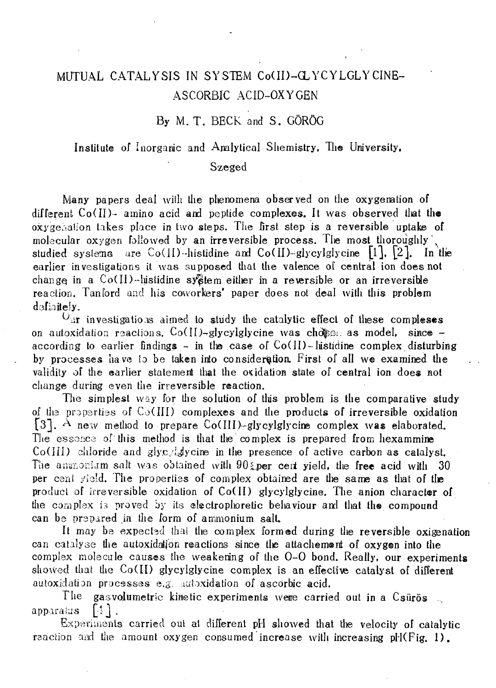## MUTUAL CATALYSIS IN SYSTEM Co(II)-GLYCYLGLYCINE-ASCORBIC ACID-OXYGEN

## By M. T. BECK and S. GÖRÖG

Institute of Inorganic and Analytical Shemistry. The University,

## Szeged

Many papers deal with the phenomena observed on the oxygenation of different Co(II)- amino acid and peptide complexes. It was observed that the oxygenation takes place in two steps. The first step is a reversible uptake of molecular oxygen followed by an irreversible process. The most thoroughly studied systems are Co(II)-histidine and Co(II)-glycylglycine  $\lceil 1 \rceil$ ,  $\lceil 2 \rceil$ . In the earlier investigations it was supposed that the valence of central ion does not change in a  $Co(H)$ -histidine system either in a reversible or an irreversible reaction. Tanford and his coworkers' paper does not deal with this problem defiaitely.

 $U_{\text{air}}$  investigations aimed to study the catalytic effect of these compleses on autoxidation reactions.  $Co(I)$ -glycylglycine was chosen as model, since according to earlier findings  $\sim$  in the case of Co(II)-histidine complex disturbing by processes have io be taken irto consideration First of all we examined the validity of the earlier statement that the oxidation state of central ion does not change during even the irreversible reaction.

The simplest way for the solution of this problem is the comparative study of the properties of  $Co(H)$  complexes and the products of irreversible oxidation [3]. A new method to prepare Co(III)-glycylglycine complex was elaborated. The essence of this method is that the complex is prepared from hexammine  $Co(HI)$  chloride and glynesis in the presence of active carbon as catalyst. The ammonium salt was obtained with  $90$  per cent yield, the free acid with 30 per cent yield. The properties of complex obtained are the same as that of tlie product of irreversible oxidation of Co(II) glycylglycine. The anion character of the complex is proved by its electrophoretic behaviour and that the compound can be prepared in the form of ammonium salt.

It may be expected thai the complex formed during the reversible oxigenation can catalyse tlie autoxidatjon reactions since tlie attachement of oxygen into the complex molecule causes the weakening of the 0-0 bond. Really, our experiments showed that the  $Co(H)$  glycylglycine complex is an effective catalyst of different autoxidation processes e.g. autoxidation of ascorbic acid.

The gasvolumetric kinetic experiments were carried out in a Csürös apparatus  $[4]$ .

Experiments carried out at different pH showed that the velocity of catalytic reaction and the amount oxygen consumed increase with increasing  $pH(Fig, 1)$ .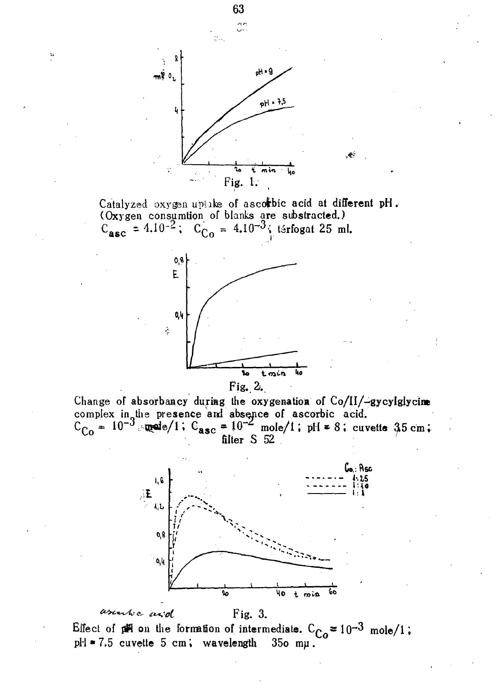

Catalyzed oxygen uptake of ascorbic acid at different pH. (Oxygen consumtion of blanks are substracted.)  $C_{\text{asc}} = 4.10^{-2}$ ;  $C_{\text{Co}} = 4.10^{-3}$ ; térfogat 25 ml.



Fig.  $2.$ 

Change of absorbancy during the oxygenation of Co/II/-gycylglycim complex in the presence and absence of ascorbic acid.<br>  $C_{Co} = 10^{-3}$  and  $C_{1} = 10^{-2}$  mole/1; pH = 8; cuvette 35 cm;<br>
filter S 52



Effect of  $p = 10^{-3}$  mole/1.  $pl1 * 7.5$  cuvette 5 cm; wavelength 350 mu.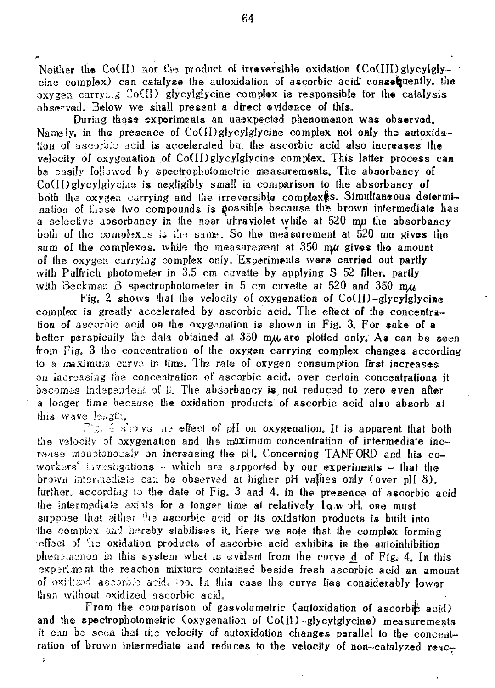Neither the Co(II) nor the product of irreversible oxidation  $(Co(III)$  glycylglycine complex) can catalyse the auloxidation of ascorbic acid,' consequently, the oxygen carrying  $Co(H)$  glycylglycine complex is responsible for the catalysis observed. Below we shall present a direct evidence of this.

During these experiments an unexpected phenomenon was observed. Namely, in the presence of  $Co(II)$ glycylglycine complex not only the autoxidation of ascorbic acid is accelerated but the ascorbic acid also increases the velocity of oxygenation of Co(II)glycylglycine complex. This latter process can be easily followed by spectrophoiometric measurements. The absorbancy of  $Co(II)$  glycylgiycine is negligibly small in comparison to the absorbancy of both the oxygen carrying and the irreversible complex<sup>§</sup>s. Simultaneous determination of these two compounds is possible because the brown intermediate has a selective absorbancy in the near ultraviolet while at 520 nyi the absorbancy both of the complexes is the same. So the measurement at  $520$  mu gives the sum of the complexes, while the measurement at  $350$  mu gives the amount of the oxygen carrying complex only. Experiments were carried out partly with Pulfrich photometer in 3.5 cm cuvette by applying S 52 filter, partly with Beckman B spectrophotometer in 5 cm cuvette at 520 and 350 *m/i* 

Fig. 2 shows that the velocity of oxygenation of  $Co(II)$ -glycylglycine complex is greatly accelerated by ascorbic acid. The effect of the concentration of ascoroic acid on the oxygenation is shown in Fig. 3, For sake of a better perspicuity the data obtained at 350 m $\mu$  are plotted only. As can be seen from Fig. 3 the concentration of the oxygen carrying complex changes according to a maximum curve in time. The rate of oxygen consumption first increases on increasing the concentration of ascorbic acid, over certain concentrations it becomes iadapandeat of ii. The absorbancy is, not reduced to zero even after a longer time because the oxidation products of ascorbic acid also absorb at this wave  $\text{bulk}$ .

Fig.  $\frac{1}{2}$  s'oves as effect of pH on oxygenation. It is apparent that both the velocity of oxygenation and the maximum concentration of intermediate increase monotonously on increasing the pH. Concerning TANFORD and his coworkers' *investigations -* which are supported by our experiments - that the brown intsroiediab can be observed at higher pH vaflies only (over pH 8), further, according to the date of Fig, 3 and 4, in the presence of ascorbic acid the intermediate exists for a longer time at relatively  $l_0$  w pH, one must suppose that either the ascorbic acid or its oxidation products is built into the complex and hereby stabilises it. Here we note that the complex forming effect of the oxidation products of ascorbic acid exhibits in the autoinhibition phenomenon in this system what is evident from the curve d of Fig. 4. In this experiment the reaction mixture contained beside fresh ascorbic acid an amount of oxidized aseoro.'o acid, *no.* In this case the curve lies considerably lower than without oxidized ascorbic acid.

From the comparison of gasvolumetric (autoxidation of ascorbic acid) and the spectrophotometric (oxygenation of Co(II)-glycylglycine) measurements it can be seen that the velocity of autoxidation changes parallel to the concentration of brown intermediate and reduces to the velocity of non-catalyzed reac-

 $\hat{\star}$